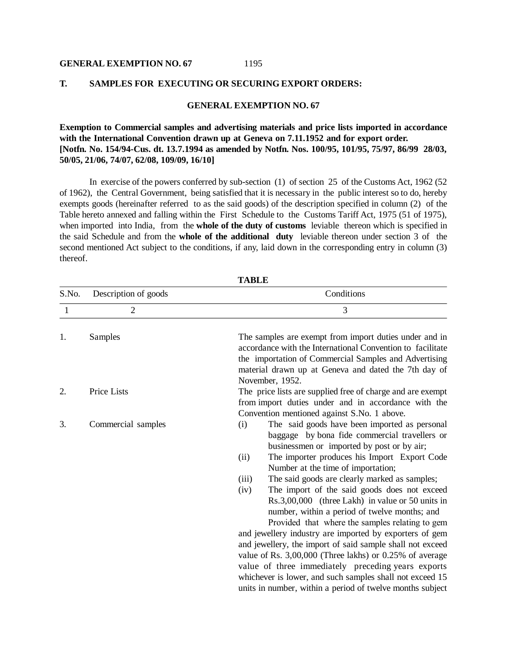#### **GENERAL EXEMPTION NO. 67**

#### **T. SAMPLES FOR EXECUTING OR SECURING EXPORT ORDERS:**

### **GENERAL EXEMPTION NO. 67**

1195

**Exemption to Commercial samples and advertising materials and price lists imported in accordance with the International Convention drawn up at Geneva on 7.11.1952 and for export order. [Notfn. No. 154/94-Cus. dt. 13.7.1994 as amended by Notfn. Nos. 100/95, 101/95, 75/97, 86/99 28/03, 50/05, 21/06, 74/07, 62/08, 109/09, 16/10]**

In exercise of the powers conferred by sub-section (1) of section 25 of the Customs Act, 1962 (52 of 1962), the Central Government, being satisfied that it is necessary in the public interest so to do, hereby exempts goods (hereinafter referred to as the said goods) of the description specified in column (2) of the Table hereto annexed and falling within the First Schedule to the Customs Tariff Act, 1975 (51 of 1975), when imported into India, from the **whole of the duty of customs** leviable thereon which is specified in the said Schedule and from the **whole of the additional duty** leviable thereon under section 3 of the second mentioned Act subject to the conditions, if any, laid down in the corresponding entry in column (3) thereof.

| S.No.        | Description of goods<br>$\overline{2}$ | Conditions                                                                                                                                                                                                                                                                                                                                                                                                                                                                                                                                                                                                                               |  |  |
|--------------|----------------------------------------|------------------------------------------------------------------------------------------------------------------------------------------------------------------------------------------------------------------------------------------------------------------------------------------------------------------------------------------------------------------------------------------------------------------------------------------------------------------------------------------------------------------------------------------------------------------------------------------------------------------------------------------|--|--|
| $\mathbf{1}$ |                                        | 3                                                                                                                                                                                                                                                                                                                                                                                                                                                                                                                                                                                                                                        |  |  |
| 1.           | Samples                                | The samples are exempt from import duties under and in<br>accordance with the International Convention to facilitate<br>the importation of Commercial Samples and Advertising<br>material drawn up at Geneva and dated the 7th day of<br>November, 1952.                                                                                                                                                                                                                                                                                                                                                                                 |  |  |
| 2.           | Price Lists                            | The price lists are supplied free of charge and are exempt<br>from import duties under and in accordance with the                                                                                                                                                                                                                                                                                                                                                                                                                                                                                                                        |  |  |
| 3.           | Commercial samples                     | Convention mentioned against S.No. 1 above.<br>The said goods have been imported as personal<br>(i)<br>baggage by bona fide commercial travellers or<br>businessmen or imported by post or by air;<br>The importer produces his Import Export Code<br>(ii)<br>Number at the time of importation;                                                                                                                                                                                                                                                                                                                                         |  |  |
|              |                                        | The said goods are clearly marked as samples;<br>(iii)<br>The import of the said goods does not exceed<br>(iv)<br>Rs.3,00,000 (three Lakh) in value or 50 units in<br>number, within a period of twelve months; and<br>Provided that where the samples relating to gem<br>and jewellery industry are imported by exporters of gem<br>and jewellery, the import of said sample shall not exceed<br>value of Rs. 3,00,000 (Three lakhs) or 0.25% of average<br>value of three immediately preceding years exports<br>whichever is lower, and such samples shall not exceed 15<br>units in number, within a period of twelve months subject |  |  |

**TABLE**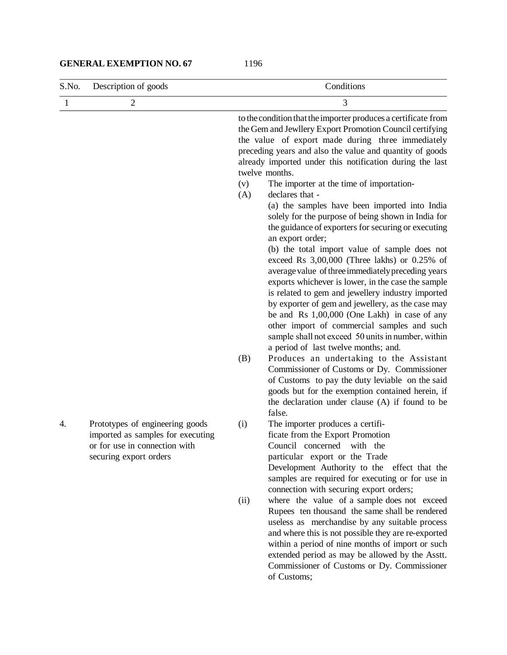### **GENERAL EXEMPTION NO. 67**

| S.No.        | Description of goods                                                                                                            | Conditions                                                                                                                                                                                                                                                                                                                                                                                                                                                                                                                                                                                                                                                                                                                                                                      |  |
|--------------|---------------------------------------------------------------------------------------------------------------------------------|---------------------------------------------------------------------------------------------------------------------------------------------------------------------------------------------------------------------------------------------------------------------------------------------------------------------------------------------------------------------------------------------------------------------------------------------------------------------------------------------------------------------------------------------------------------------------------------------------------------------------------------------------------------------------------------------------------------------------------------------------------------------------------|--|
| $\mathbf{1}$ | $\overline{2}$                                                                                                                  | 3                                                                                                                                                                                                                                                                                                                                                                                                                                                                                                                                                                                                                                                                                                                                                                               |  |
|              |                                                                                                                                 | to the condition that the importer produces a certificate from<br>the Gem and Jewllery Export Promotion Council certifying<br>the value of export made during three immediately<br>preceding years and also the value and quantity of goods<br>already imported under this notification during the last<br>twelve months.                                                                                                                                                                                                                                                                                                                                                                                                                                                       |  |
|              |                                                                                                                                 | The importer at the time of importation-<br>(v)<br>declares that -<br>(A)<br>(a) the samples have been imported into India<br>solely for the purpose of being shown in India for<br>the guidance of exporters for securing or executing<br>an export order;<br>(b) the total import value of sample does not<br>exceed Rs 3,00,000 (Three lakhs) or 0.25% of<br>average value of three immediately preceding years<br>exports whichever is lower, in the case the sample<br>is related to gem and jewellery industry imported<br>by exporter of gem and jewellery, as the case may<br>be and Rs 1,00,000 (One Lakh) in case of any<br>other import of commercial samples and such<br>sample shall not exceed 50 units in number, within<br>a period of last twelve months; and. |  |
|              |                                                                                                                                 | Produces an undertaking to the Assistant<br>(B)<br>Commissioner of Customs or Dy. Commissioner<br>of Customs to pay the duty leviable on the said<br>goods but for the exemption contained herein, if<br>the declaration under clause (A) if found to be<br>false.                                                                                                                                                                                                                                                                                                                                                                                                                                                                                                              |  |
| 4.           | Prototypes of engineering goods<br>imported as samples for executing<br>or for use in connection with<br>securing export orders | The importer produces a certifi-<br>(i)<br>ficate from the Export Promotion<br>Council concerned<br>with the<br>particular export or the Trade<br>Development Authority to the effect that the<br>samples are required for executing or for use in<br>connection with securing export orders;                                                                                                                                                                                                                                                                                                                                                                                                                                                                                   |  |
|              |                                                                                                                                 | where the value of a sample does not exceed<br>(ii)<br>Rupees ten thousand the same shall be rendered<br>useless as merchandise by any suitable process<br>and where this is not possible they are re-exported<br>within a period of nine months of import or such<br>extended period as may be allowed by the Asstt.<br>Commissioner of Customs or Dy. Commissioner<br>of Customs;                                                                                                                                                                                                                                                                                                                                                                                             |  |